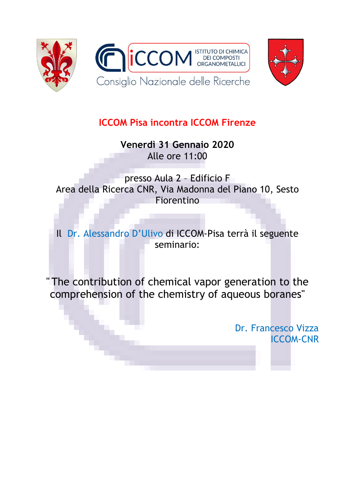



## **ICCOM Pisa incontra ICCOM Firenze**

**Venerdì 31 Gennaio 2020** Alle ore 11:00

presso Aula 2 – Edificio F Area della Ricerca CNR, Via Madonna del Piano 10, Sesto Fiorentino

Il Dr. Alessandro D'Ulivo di ICCOM-Pisa terrà il seguente seminario:

" The contribution of chemical vapor generation to the comprehension of the chemistry of aqueous boranes"

> Dr. Francesco Vizza ICCOM-CNR